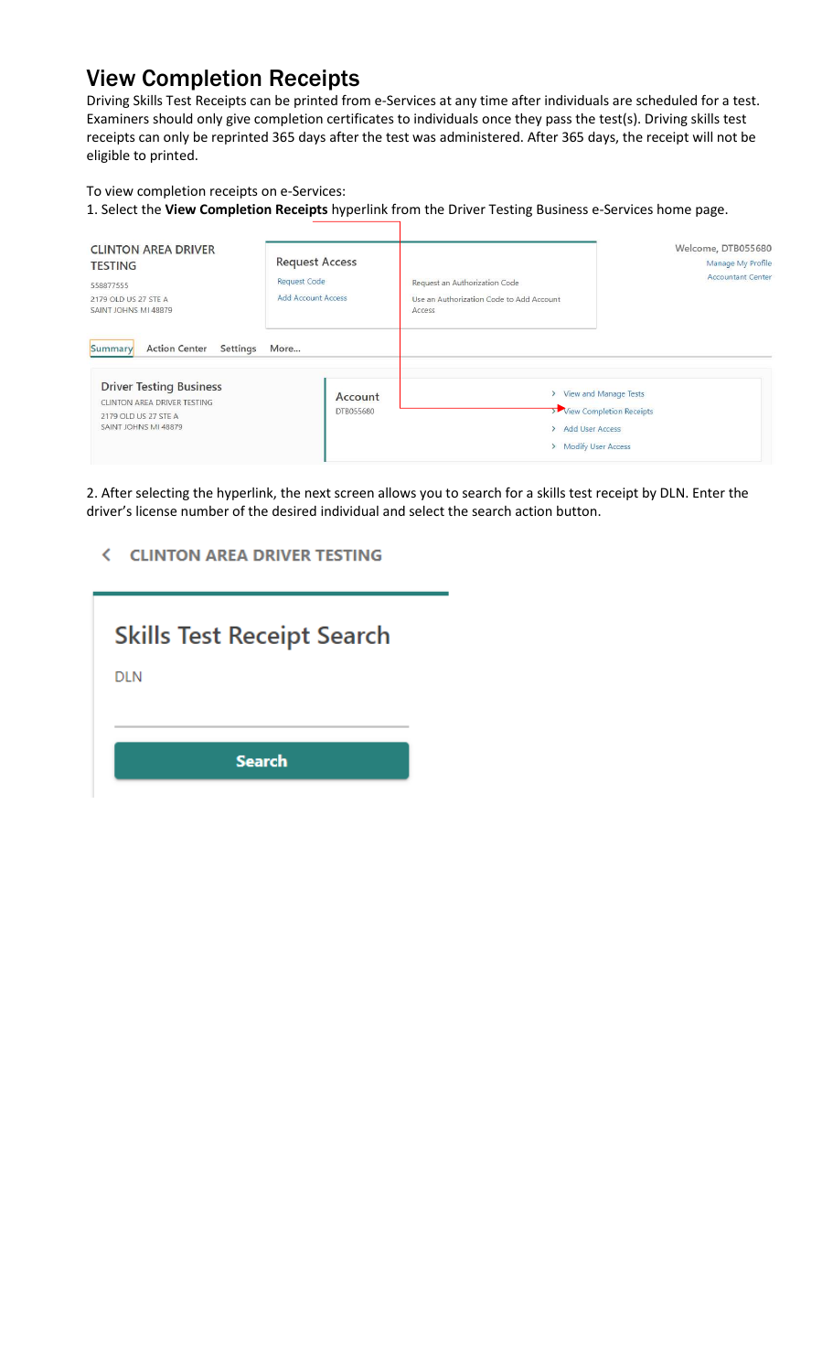# View Completion Receipts

Driving Skills Test Receipts can be printed from e-Services at any time after individuals are scheduled for a test. Examiners should only give completion certificates to individuals once they pass the test(s). Driving skills test receipts can only be reprinted 365 days after the test was administered. After 365 days, the receipt will not be eligible to printed.

## To view completion receipts on e-Services:

1. Select the **View Completion Receipts** hyperlink from the Driver Testing Business e-Services home page.

| <b>CLINTON AREA DRIVER</b><br><b>TESTING</b><br>558877555<br>2179 OLD US 27 STE A<br>SAINT JOHNS MI 48879                                                    | <b>Request Access</b><br><b>Request Code</b><br><b>Add Account Access</b> | Request an Authorization Code<br>Use an Authorization Code to Add Account<br>Access | Welcome, DTB055680<br>Manage My Profile<br><b>Accountant Center</b> |
|--------------------------------------------------------------------------------------------------------------------------------------------------------------|---------------------------------------------------------------------------|-------------------------------------------------------------------------------------|---------------------------------------------------------------------|
| <b>Action Center</b><br>Summary<br>Settings<br><b>Driver Testing Business</b><br>CLINTON AREA DRIVER TESTING<br>2179 OLD US 27 STE A<br>SAINT JOHNS MI 48879 | More<br>Account<br>DTB055680                                              | > Add User Access<br>> Modify User Access                                           | > View and Manage Tests<br>View Completion Receipts                 |

2. After selecting the hyperlink, the next screen allows you to search for a skills test receipt by DLN. Enter the driver's license number of the desired individual and select the search action button.

## **< CLINTON AREA DRIVER TESTING**

| <b>Skills Test Receipt Search</b> |
|-----------------------------------|
| DLN                               |
|                                   |
|                                   |
| <b>Search</b>                     |
|                                   |